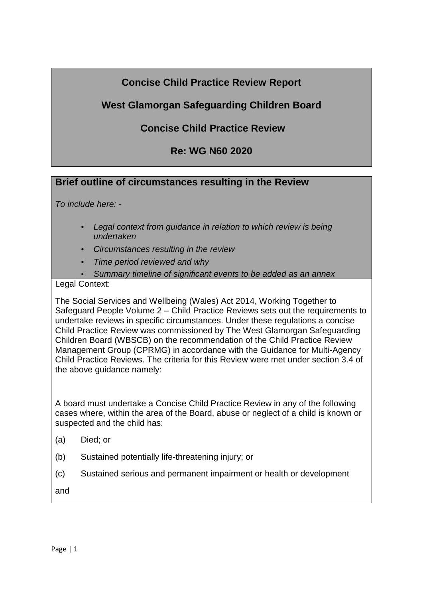# **Concise Child Practice Review Report**

# **West Glamorgan Safeguarding Children Board**

# **Concise Child Practice Review**

## **Re: WG N60 2020**

## **Brief outline of circumstances resulting in the Review**

*To include here: -*

- *Legal context from guidance in relation to which review is being undertaken*
- *Circumstances resulting in the review*
- *Time period reviewed and why*
- *Summary timeline of significant events to be added as an annex*

Legal Context:

The Social Services and Wellbeing (Wales) Act 2014, Working Together to Safeguard People Volume 2 – Child Practice Reviews sets out the requirements to undertake reviews in specific circumstances. Under these regulations a concise Child Practice Review was commissioned by The West Glamorgan Safeguarding Children Board (WBSCB) on the recommendation of the Child Practice Review Management Group (CPRMG) in accordance with the Guidance for Multi-Agency Child Practice Reviews. The criteria for this Review were met under section 3.4 of the above guidance namely:

A board must undertake a Concise Child Practice Review in any of the following cases where, within the area of the Board, abuse or neglect of a child is known or suspected and the child has:

- (a) Died; or
- (b) Sustained potentially life-threatening injury; or
- (c) Sustained serious and permanent impairment or health or development
- and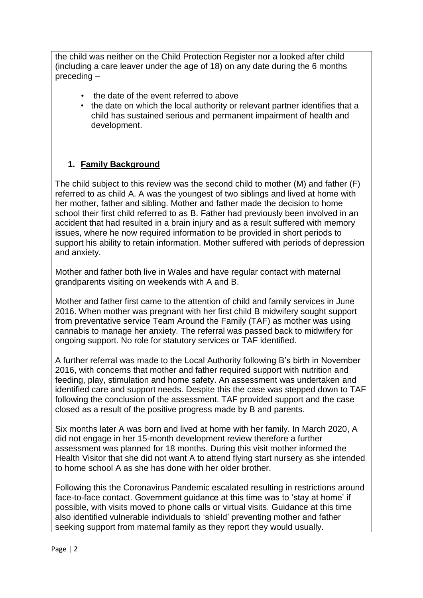the child was neither on the Child Protection Register nor a looked after child (including a care leaver under the age of 18) on any date during the 6 months preceding –

- the date of the event referred to above
- the date on which the local authority or relevant partner identifies that a child has sustained serious and permanent impairment of health and development.

## **1. Family Background**

The child subject to this review was the second child to mother (M) and father (F) referred to as child A. A was the youngest of two siblings and lived at home with her mother, father and sibling. Mother and father made the decision to home school their first child referred to as B. Father had previously been involved in an accident that had resulted in a brain injury and as a result suffered with memory issues, where he now required information to be provided in short periods to support his ability to retain information. Mother suffered with periods of depression and anxiety.

Mother and father both live in Wales and have regular contact with maternal grandparents visiting on weekends with A and B.

Mother and father first came to the attention of child and family services in June 2016. When mother was pregnant with her first child B midwifery sought support from preventative service Team Around the Family (TAF) as mother was using cannabis to manage her anxiety. The referral was passed back to midwifery for ongoing support. No role for statutory services or TAF identified.

A further referral was made to the Local Authority following B's birth in November 2016, with concerns that mother and father required support with nutrition and feeding, play, stimulation and home safety. An assessment was undertaken and identified care and support needs. Despite this the case was stepped down to TAF following the conclusion of the assessment. TAF provided support and the case closed as a result of the positive progress made by B and parents.

Six months later A was born and lived at home with her family. In March 2020, A did not engage in her 15-month development review therefore a further assessment was planned for 18 months. During this visit mother informed the Health Visitor that she did not want A to attend flying start nursery as she intended to home school A as she has done with her older brother.

Following this the Coronavirus Pandemic escalated resulting in restrictions around face-to-face contact. Government guidance at this time was to 'stay at home' if possible, with visits moved to phone calls or virtual visits. Guidance at this time also identified vulnerable individuals to 'shield' preventing mother and father seeking support from maternal family as they report they would usually.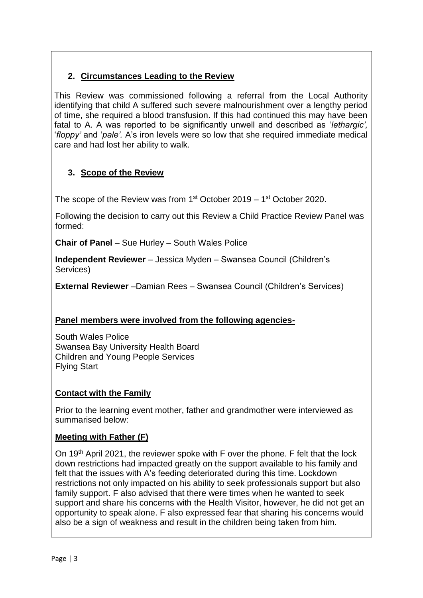## **2. Circumstances Leading to the Review**

This Review was commissioned following a referral from the Local Authority identifying that child A suffered such severe malnourishment over a lengthy period of time, she required a blood transfusion. If this had continued this may have been fatal to A. A was reported to be significantly unwell and described as '*lethargic',*  '*floppy'* and '*pale'.* A's iron levels were so low that she required immediate medical care and had lost her ability to walk.

## **3. Scope of the Review**

The scope of the Review was from  $1<sup>st</sup>$  October 2019 –  $1<sup>st</sup>$  October 2020.

Following the decision to carry out this Review a Child Practice Review Panel was formed:

**Chair of Panel** – Sue Hurley – South Wales Police

**Independent Reviewer** – Jessica Myden – Swansea Council (Children's Services)

**External Reviewer** –Damian Rees – Swansea Council (Children's Services)

### **Panel members were involved from the following agencies-**

South Wales Police Swansea Bay University Health Board Children and Young People Services Flying Start

### **Contact with the Family**

Prior to the learning event mother, father and grandmother were interviewed as summarised below:

#### **Meeting with Father (F)**

On 19<sup>th</sup> April 2021, the reviewer spoke with F over the phone. F felt that the lock down restrictions had impacted greatly on the support available to his family and felt that the issues with A's feeding deteriorated during this time. Lockdown restrictions not only impacted on his ability to seek professionals support but also family support. F also advised that there were times when he wanted to seek support and share his concerns with the Health Visitor, however, he did not get an opportunity to speak alone. F also expressed fear that sharing his concerns would also be a sign of weakness and result in the children being taken from him.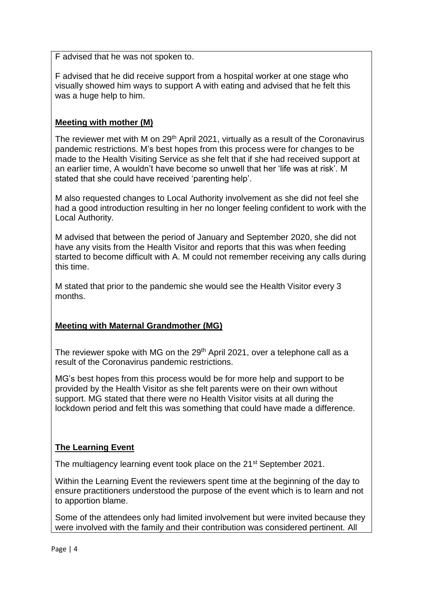F advised that he was not spoken to.

F advised that he did receive support from a hospital worker at one stage who visually showed him ways to support A with eating and advised that he felt this was a huge help to him.

### **Meeting with mother (M)**

The reviewer met with M on 29<sup>th</sup> April 2021, virtually as a result of the Coronavirus pandemic restrictions. M's best hopes from this process were for changes to be made to the Health Visiting Service as she felt that if she had received support at an earlier time, A wouldn't have become so unwell that her 'life was at risk'. M stated that she could have received 'parenting help'.

M also requested changes to Local Authority involvement as she did not feel she had a good introduction resulting in her no longer feeling confident to work with the Local Authority.

M advised that between the period of January and September 2020, she did not have any visits from the Health Visitor and reports that this was when feeding started to become difficult with A. M could not remember receiving any calls during this time.

M stated that prior to the pandemic she would see the Health Visitor every 3 months.

## **Meeting with Maternal Grandmother (MG)**

The reviewer spoke with MG on the 29<sup>th</sup> April 2021, over a telephone call as a result of the Coronavirus pandemic restrictions.

MG's best hopes from this process would be for more help and support to be provided by the Health Visitor as she felt parents were on their own without support. MG stated that there were no Health Visitor visits at all during the lockdown period and felt this was something that could have made a difference.

## **The Learning Event**

The multiagency learning event took place on the 21<sup>st</sup> September 2021.

Within the Learning Event the reviewers spent time at the beginning of the day to ensure practitioners understood the purpose of the event which is to learn and not to apportion blame.

Some of the attendees only had limited involvement but were invited because they were involved with the family and their contribution was considered pertinent. All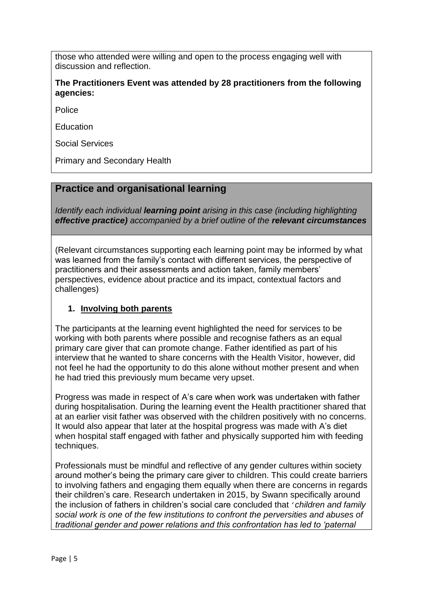those who attended were willing and open to the process engaging well with discussion and reflection.

#### **The Practitioners Event was attended by 28 practitioners from the following agencies:**

Police

Education

Social Services

Primary and Secondary Health

## **Practice and organisational learning**

*Identify each individual learning point arising in this case (including highlighting effective practice) accompanied by a brief outline of the relevant circumstances*

(Relevant circumstances supporting each learning point may be informed by what was learned from the family's contact with different services, the perspective of practitioners and their assessments and action taken, family members' perspectives, evidence about practice and its impact, contextual factors and challenges)

### **1. Involving both parents**

The participants at the learning event highlighted the need for services to be working with both parents where possible and recognise fathers as an equal primary care giver that can promote change. Father identified as part of his interview that he wanted to share concerns with the Health Visitor, however, did not feel he had the opportunity to do this alone without mother present and when he had tried this previously mum became very upset.

Progress was made in respect of A's care when work was undertaken with father during hospitalisation. During the learning event the Health practitioner shared that at an earlier visit father was observed with the children positively with no concerns. It would also appear that later at the hospital progress was made with A's diet when hospital staff engaged with father and physically supported him with feeding techniques.

Professionals must be mindful and reflective of any gender cultures within society around mother's being the primary care giver to children. This could create barriers to involving fathers and engaging them equally when there are concerns in regards their children's care. Research undertaken in 2015, by Swann specifically around the inclusion of fathers in children's social care concluded that *' children and family social work is one of the few institutions to confront the perversities and abuses of traditional gender and power relations and this confrontation has led to 'paternal*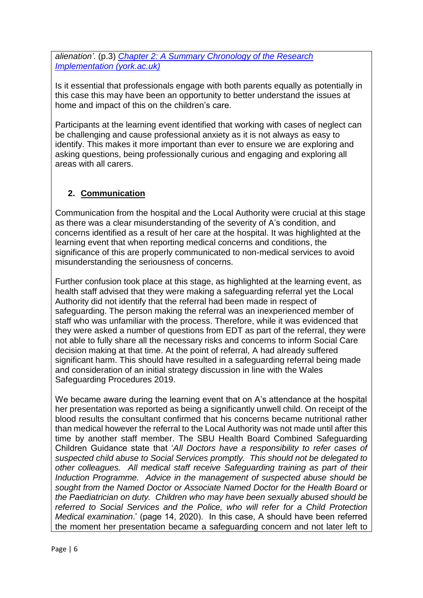*alienation'*. (p.3) *[Chapter 2: A Summary Chronology of the Research](https://www.york.ac.uk/media/spsw/documents/mrc/Gavin%20Swann%20Thesis.pdf)  [Implementation \(york.ac.uk\)](https://www.york.ac.uk/media/spsw/documents/mrc/Gavin%20Swann%20Thesis.pdf)*

Is it essential that professionals engage with both parents equally as potentially in this case this may have been an opportunity to better understand the issues at home and impact of this on the children's care.

Participants at the learning event identified that working with cases of neglect can be challenging and cause professional anxiety as it is not always as easy to identify. This makes it more important than ever to ensure we are exploring and asking questions, being professionally curious and engaging and exploring all areas with all carers.

## **2. Communication**

Communication from the hospital and the Local Authority were crucial at this stage as there was a clear misunderstanding of the severity of A's condition, and concerns identified as a result of her care at the hospital. It was highlighted at the learning event that when reporting medical concerns and conditions, the significance of this are properly communicated to non-medical services to avoid misunderstanding the seriousness of concerns.

Further confusion took place at this stage, as highlighted at the learning event, as health staff advised that they were making a safeguarding referral yet the Local Authority did not identify that the referral had been made in respect of safeguarding. The person making the referral was an inexperienced member of staff who was unfamiliar with the process. Therefore, while it was evidenced that they were asked a number of questions from EDT as part of the referral, they were not able to fully share all the necessary risks and concerns to inform Social Care decision making at that time. At the point of referral, A had already suffered significant harm. This should have resulted in a safeguarding referral being made and consideration of an initial strategy discussion in line with the Wales Safeguarding Procedures 2019.

We became aware during the learning event that on A's attendance at the hospital her presentation was reported as being a significantly unwell child. On receipt of the blood results the consultant confirmed that his concerns became nutritional rather than medical however the referral to the Local Authority was not made until after this time by another staff member. The SBU Health Board Combined Safeguarding Children Guidance state that '*All Doctors have a responsibility to refer cases of suspected child abuse to Social Services promptly. This should not be delegated to other colleagues. All medical staff receive Safeguarding training as part of their Induction Programme. Advice in the management of suspected abuse should be sought from the Named Doctor or Associate Named Doctor for the Health Board or the Paediatrician on duty. Children who may have been sexually abused should be referred to Social Services and the Police, who will refer for a Child Protection Medical examination*.' (page 14, 2020). In this case, A should have been referred the moment her presentation became a safeguarding concern and not later left to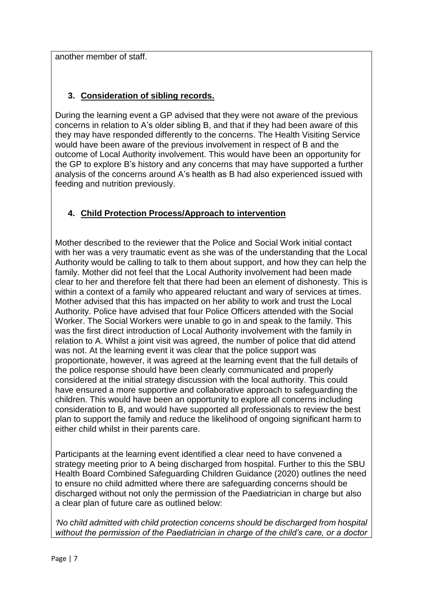another member of staff.

## **3. Consideration of sibling records.**

During the learning event a GP advised that they were not aware of the previous concerns in relation to A's older sibling B, and that if they had been aware of this they may have responded differently to the concerns. The Health Visiting Service would have been aware of the previous involvement in respect of B and the outcome of Local Authority involvement. This would have been an opportunity for the GP to explore B's history and any concerns that may have supported a further analysis of the concerns around A's health as B had also experienced issued with feeding and nutrition previously.

## **4. Child Protection Process/Approach to intervention**

Mother described to the reviewer that the Police and Social Work initial contact with her was a very traumatic event as she was of the understanding that the Local Authority would be calling to talk to them about support, and how they can help the family. Mother did not feel that the Local Authority involvement had been made clear to her and therefore felt that there had been an element of dishonesty. This is within a context of a family who appeared reluctant and wary of services at times. Mother advised that this has impacted on her ability to work and trust the Local Authority. Police have advised that four Police Officers attended with the Social Worker. The Social Workers were unable to go in and speak to the family. This was the first direct introduction of Local Authority involvement with the family in relation to A. Whilst a joint visit was agreed, the number of police that did attend was not. At the learning event it was clear that the police support was proportionate, however, it was agreed at the learning event that the full details of the police response should have been clearly communicated and properly considered at the initial strategy discussion with the local authority. This could have ensured a more supportive and collaborative approach to safeguarding the children. This would have been an opportunity to explore all concerns including consideration to B, and would have supported all professionals to review the best plan to support the family and reduce the likelihood of ongoing significant harm to either child whilst in their parents care.

Participants at the learning event identified a clear need to have convened a strategy meeting prior to A being discharged from hospital. Further to this the SBU Health Board Combined Safeguarding Children Guidance (2020) outlines the need to ensure no child admitted where there are safeguarding concerns should be discharged without not only the permission of the Paediatrician in charge but also a clear plan of future care as outlined below:

*'No child admitted with child protection concerns should be discharged from hospital without the permission of the Paediatrician in charge of the child's care, or a doctor*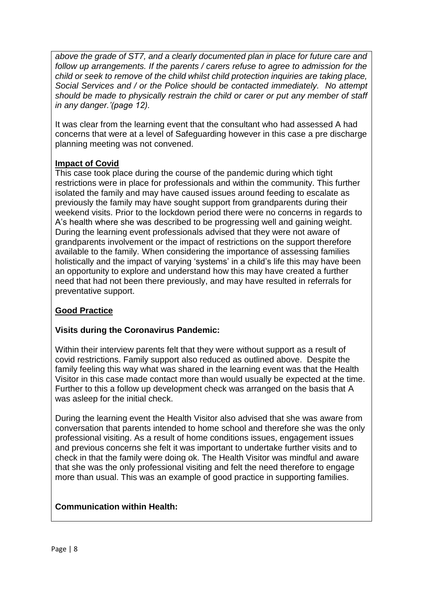*above the grade of ST7, and a clearly documented plan in place for future care and follow up arrangements. If the parents / carers refuse to agree to admission for the child or seek to remove of the child whilst child protection inquiries are taking place, Social Services and / or the Police should be contacted immediately. No attempt should be made to physically restrain the child or carer or put any member of staff in any danger.'(page 12).* 

It was clear from the learning event that the consultant who had assessed A had concerns that were at a level of Safeguarding however in this case a pre discharge planning meeting was not convened.

### **Impact of Covid**

This case took place during the course of the pandemic during which tight restrictions were in place for professionals and within the community. This further isolated the family and may have caused issues around feeding to escalate as previously the family may have sought support from grandparents during their weekend visits. Prior to the lockdown period there were no concerns in regards to A's health where she was described to be progressing well and gaining weight. During the learning event professionals advised that they were not aware of grandparents involvement or the impact of restrictions on the support therefore available to the family. When considering the importance of assessing families holistically and the impact of varying 'systems' in a child's life this may have been an opportunity to explore and understand how this may have created a further need that had not been there previously, and may have resulted in referrals for preventative support.

## **Good Practice**

### **Visits during the Coronavirus Pandemic:**

Within their interview parents felt that they were without support as a result of covid restrictions. Family support also reduced as outlined above. Despite the family feeling this way what was shared in the learning event was that the Health Visitor in this case made contact more than would usually be expected at the time. Further to this a follow up development check was arranged on the basis that A was asleep for the initial check.

During the learning event the Health Visitor also advised that she was aware from conversation that parents intended to home school and therefore she was the only professional visiting. As a result of home conditions issues, engagement issues and previous concerns she felt it was important to undertake further visits and to check in that the family were doing ok. The Health Visitor was mindful and aware that she was the only professional visiting and felt the need therefore to engage more than usual. This was an example of good practice in supporting families.

## **Communication within Health:**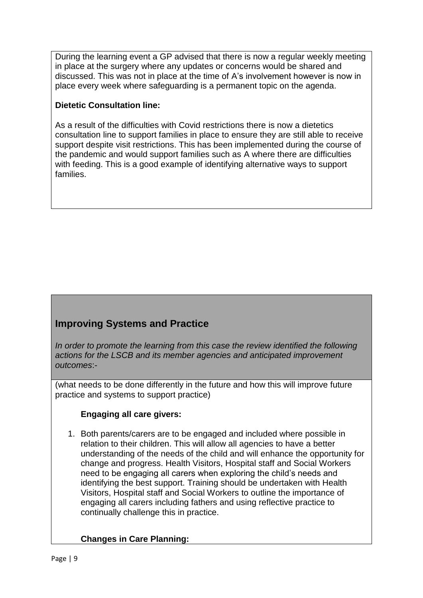During the learning event a GP advised that there is now a regular weekly meeting in place at the surgery where any updates or concerns would be shared and discussed. This was not in place at the time of A's involvement however is now in place every week where safeguarding is a permanent topic on the agenda.

#### **Dietetic Consultation line:**

As a result of the difficulties with Covid restrictions there is now a dietetics consultation line to support families in place to ensure they are still able to receive support despite visit restrictions. This has been implemented during the course of the pandemic and would support families such as A where there are difficulties with feeding. This is a good example of identifying alternative ways to support families.

# **Improving Systems and Practice**

*In order to promote the learning from this case the review identified the following actions for the LSCB and its member agencies and anticipated improvement outcomes*:-

(what needs to be done differently in the future and how this will improve future practice and systems to support practice)

### **Engaging all care givers:**

1. Both parents/carers are to be engaged and included where possible in relation to their children. This will allow all agencies to have a better understanding of the needs of the child and will enhance the opportunity for change and progress. Health Visitors, Hospital staff and Social Workers need to be engaging all carers when exploring the child's needs and identifying the best support. Training should be undertaken with Health Visitors, Hospital staff and Social Workers to outline the importance of engaging all carers including fathers and using reflective practice to continually challenge this in practice.

### **Changes in Care Planning:**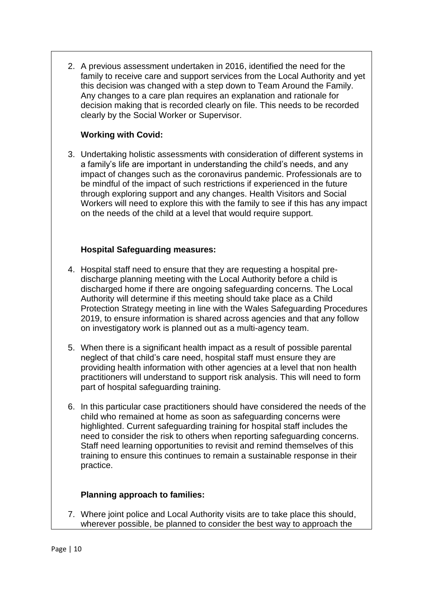2. A previous assessment undertaken in 2016, identified the need for the family to receive care and support services from the Local Authority and yet this decision was changed with a step down to Team Around the Family. Any changes to a care plan requires an explanation and rationale for decision making that is recorded clearly on file. This needs to be recorded clearly by the Social Worker or Supervisor.

#### **Working with Covid:**

3. Undertaking holistic assessments with consideration of different systems in a family's life are important in understanding the child's needs, and any impact of changes such as the coronavirus pandemic. Professionals are to be mindful of the impact of such restrictions if experienced in the future through exploring support and any changes. Health Visitors and Social Workers will need to explore this with the family to see if this has any impact on the needs of the child at a level that would require support.

#### **Hospital Safeguarding measures:**

- 4. Hospital staff need to ensure that they are requesting a hospital predischarge planning meeting with the Local Authority before a child is discharged home if there are ongoing safeguarding concerns. The Local Authority will determine if this meeting should take place as a Child Protection Strategy meeting in line with the Wales Safeguarding Procedures 2019, to ensure information is shared across agencies and that any follow on investigatory work is planned out as a multi-agency team.
- 5. When there is a significant health impact as a result of possible parental neglect of that child's care need, hospital staff must ensure they are providing health information with other agencies at a level that non health practitioners will understand to support risk analysis. This will need to form part of hospital safeguarding training.
- 6. In this particular case practitioners should have considered the needs of the child who remained at home as soon as safeguarding concerns were highlighted. Current safeguarding training for hospital staff includes the need to consider the risk to others when reporting safeguarding concerns. Staff need learning opportunities to revisit and remind themselves of this training to ensure this continues to remain a sustainable response in their practice.

### **Planning approach to families:**

7. Where joint police and Local Authority visits are to take place this should, wherever possible, be planned to consider the best way to approach the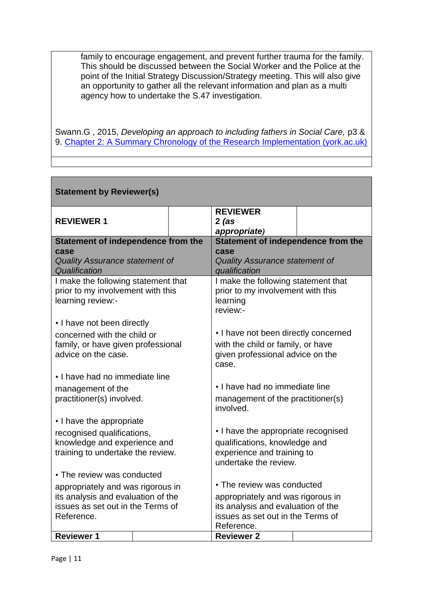family to encourage engagement, and prevent further trauma for the family. This should be discussed between the Social Worker and the Police at the point of the Initial Strategy Discussion/Strategy meeting. This will also give an opportunity to gather all the relevant information and plan as a multi agency how to undertake the S.47 investigation.

Swann.G, 2015, *Developing an approach to including fathers in Social Care, p3 &* 9. [Chapter 2: A Summary Chronology of the Research Implementation \(york.ac.uk\)](https://www.york.ac.uk/media/spsw/documents/mrc/Gavin%20Swann%20Thesis.pdf)

| <b>Statement by Reviewer(s)</b>                                                                                        |  |                                                                                                                             |                                                                                                                        |  |  |  |
|------------------------------------------------------------------------------------------------------------------------|--|-----------------------------------------------------------------------------------------------------------------------------|------------------------------------------------------------------------------------------------------------------------|--|--|--|
| <b>REVIEWER 1</b>                                                                                                      |  |                                                                                                                             | <b>REVIEWER</b><br>$2$ (as<br>appropriate)                                                                             |  |  |  |
| Statement of independence from the                                                                                     |  | Statement of independence from the                                                                                          |                                                                                                                        |  |  |  |
| case<br><b>Quality Assurance statement of</b><br>Qualification                                                         |  | case<br><b>Quality Assurance statement of</b><br>qualification                                                              |                                                                                                                        |  |  |  |
| I make the following statement that<br>prior to my involvement with this<br>learning review:-                          |  | I make the following statement that<br>prior to my involvement with this<br>learning<br>review:-                            |                                                                                                                        |  |  |  |
| • I have not been directly<br>concerned with the child or<br>family, or have given professional<br>advice on the case. |  |                                                                                                                             | • I have not been directly concerned<br>with the child or family, or have<br>given professional advice on the<br>case. |  |  |  |
| • I have had no immediate line                                                                                         |  |                                                                                                                             |                                                                                                                        |  |  |  |
| management of the<br>practitioner(s) involved.                                                                         |  |                                                                                                                             | • I have had no immediate line<br>management of the practitioner(s)<br>involved.                                       |  |  |  |
| • I have the appropriate                                                                                               |  |                                                                                                                             |                                                                                                                        |  |  |  |
| recognised qualifications,<br>knowledge and experience and<br>training to undertake the review.                        |  | • I have the appropriate recognised<br>qualifications, knowledge and<br>experience and training to<br>undertake the review. |                                                                                                                        |  |  |  |
| • The review was conducted                                                                                             |  |                                                                                                                             |                                                                                                                        |  |  |  |
| appropriately and was rigorous in                                                                                      |  | • The review was conducted                                                                                                  |                                                                                                                        |  |  |  |
| its analysis and evaluation of the<br>issues as set out in the Terms of                                                |  | appropriately and was rigorous in<br>its analysis and evaluation of the                                                     |                                                                                                                        |  |  |  |
| Reference.                                                                                                             |  | issues as set out in the Terms of<br>Reference.                                                                             |                                                                                                                        |  |  |  |
| <b>Reviewer 1</b>                                                                                                      |  |                                                                                                                             | <b>Reviewer 2</b>                                                                                                      |  |  |  |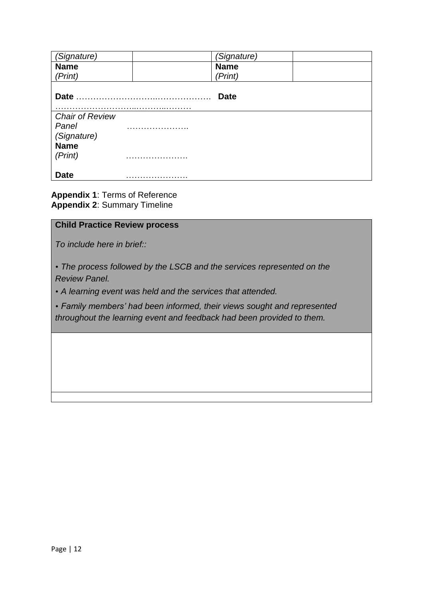| (Signature)                                    |   | (Signature) |  |
|------------------------------------------------|---|-------------|--|
| <b>Name</b>                                    |   | <b>Name</b> |  |
| (Print)                                        |   | (Print)     |  |
| <b>Date</b>                                    | . | <b>Date</b> |  |
| <b>Chair of Review</b><br>Panel<br>(Signature) |   |             |  |
| <b>Name</b><br>(Print)                         |   |             |  |
| <b>Date</b>                                    |   |             |  |

**Appendix 1**: Terms of Reference **Appendix 2**: Summary Timeline

## **Child Practice Review process**

*To include here in brief::*

• *The process followed by the LSCB and the services represented on the Review Panel.*

• *A learning event was held and the services that attended.*

• *Family members' had been informed, their views sought and represented throughout the learning event and feedback had been provided to them.*